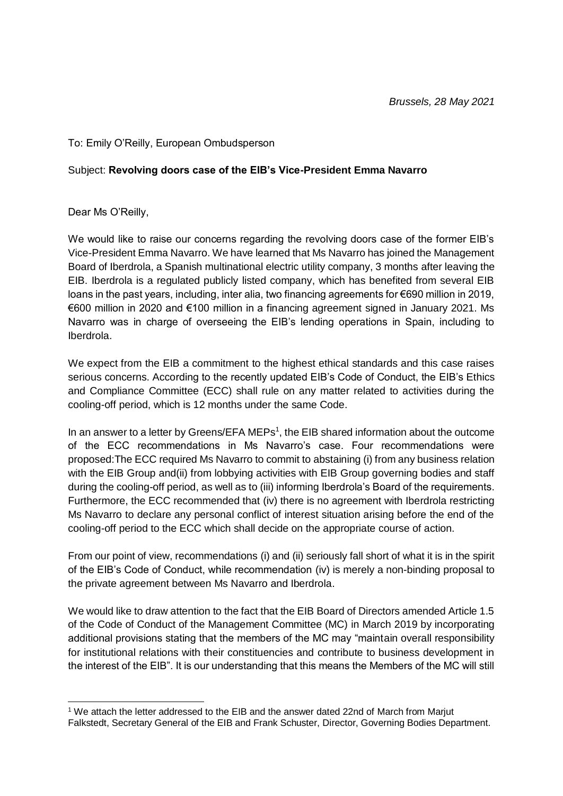## To: Emily O'Reilly, European Ombudsperson

## Subject: **Revolving doors case of the EIB's Vice-President Emma Navarro**

Dear Ms O'Reilly,

We would like to raise our concerns regarding the revolving doors case of the former EIB's Vice-President Emma Navarro. We have learned that Ms Navarro has joined the Management Board of Iberdrola, a Spanish multinational electric utility company, 3 months after leaving the EIB. Iberdrola is a regulated publicly listed company, which has benefited from several EIB loans in the past years, including, inter alia, two financing agreements for €690 million in 2019, €600 million in 2020 and €100 million in a financing agreement signed in January 2021. Ms Navarro was in charge of overseeing the EIB's lending operations in Spain, including to Iberdrola.

We expect from the EIB a commitment to the highest ethical standards and this case raises serious concerns. According to the recently updated EIB's Code of Conduct, the EIB's Ethics and Compliance Committee (ECC) shall rule on any matter related to activities during the cooling-off period, which is 12 months under the same Code.

In an answer to a letter by Greens/EFA MEPs<sup>1</sup>, the EIB shared information about the outcome of the ECC recommendations in Ms Navarro's case. Four recommendations were proposed:The ECC required Ms Navarro to commit to abstaining (i) from any business relation with the EIB Group and(ii) from lobbying activities with EIB Group governing bodies and staff during the cooling-off period, as well as to (iii) informing Iberdrola's Board of the requirements. Furthermore, the ECC recommended that (iv) there is no agreement with Iberdrola restricting Ms Navarro to declare any personal conflict of interest situation arising before the end of the cooling-off period to the ECC which shall decide on the appropriate course of action.

From our point of view, recommendations (i) and (ii) seriously fall short of what it is in the spirit of the EIB's Code of Conduct, while recommendation (iv) is merely a non-binding proposal to the private agreement between Ms Navarro and Iberdrola.

We would like to draw attention to the fact that the EIB Board of Directors amended Article 1.5 of the Code of Conduct of the Management Committee (MC) in March 2019 by incorporating additional provisions stating that the members of the MC may "maintain overall responsibility for institutional relations with their constituencies and contribute to business development in the interest of the EIB". It is our understanding that this means the Members of the MC will still

<sup>-</sup><sup>1</sup> We attach the letter addressed to the EIB and the answer dated 22nd of March from Mariut Falkstedt, Secretary General of the EIB and Frank Schuster, Director, Governing Bodies Department.